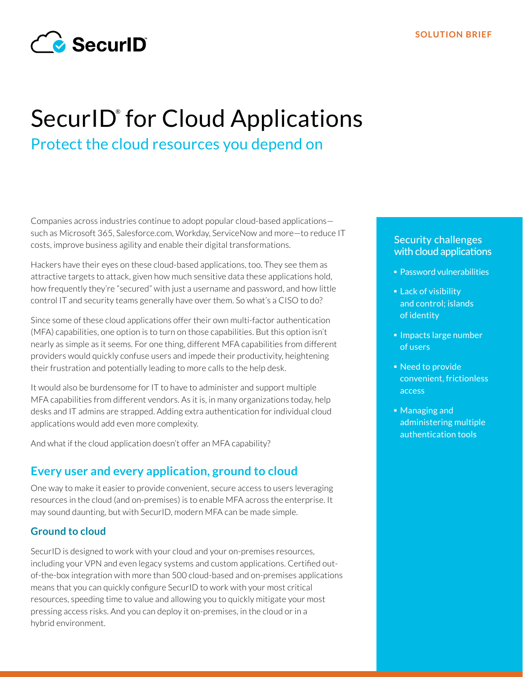

# SecurID<sup>®</sup> for Cloud Applications Protect the cloud resources you depend on

Companies across industries continue to adopt popular cloud-based applications such as Microsoft 365, Salesforce.com, Workday, ServiceNow and more—to reduce IT costs, improve business agility and enable their digital transformations.

Hackers have their eyes on these cloud-based applications, too. They see them as attractive targets to attack, given how much sensitive data these applications hold, how frequently they're "secured" with just a username and password, and how little control IT and security teams generally have over them. So what's a CISO to do?

Since some of these cloud applications offer their own multi-factor authentication (MFA) capabilities, one option is to turn on those capabilities. But this option isn't nearly as simple as it seems. For one thing, different MFA capabilities from different providers would quickly confuse users and impede their productivity, heightening their frustration and potentially leading to more calls to the help desk.

It would also be burdensome for IT to have to administer and support multiple MFA capabilities from different vendors. As it is, in many organizations today, help desks and IT admins are strapped. Adding extra authentication for individual cloud applications would add even more complexity.

And what if the cloud application doesn't offer an MFA capability?

# **Every user and every application, ground to cloud**

One way to make it easier to provide convenient, secure access to users leveraging resources in the cloud (and on-premises) is to enable MFA across the enterprise. It may sound daunting, but with SecurID, modern MFA can be made simple.

#### **Ground to cloud**

SecurID is designed to work with your cloud and your on-premises resources, including your VPN and even legacy systems and custom applications. Certified outof-the-box integration with more than 500 cloud-based and on-premises applications means that you can quickly configure SecurID to work with your most critical resources, speeding time to value and allowing you to quickly mitigate your most pressing access risks. And you can deploy it on-premises, in the cloud or in a hybrid environment.

## Security challenges with cloud applications

- Password vulnerabilities
- **Lack of visibility** and control; islands of identity
- Impacts large number of users
- Need to provide convenient, frictionless access
- Managing and administering multiple authentication tools